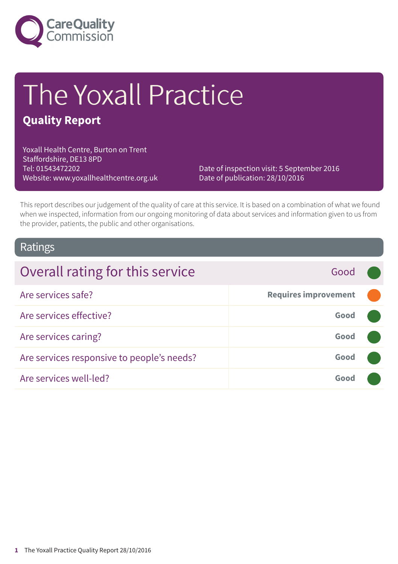

# The Yoxall Practice

### **Quality Report**

Yoxall Health Centre, Burton on Trent Staffordshire, DE13 8PD Tel: 01543472202 Website: www.yoxallhealthcentre.org.uk

Date of inspection visit: 5 September 2016 Date of publication: 28/10/2016

This report describes our judgement of the quality of care at this service. It is based on a combination of what we found when we inspected, information from our ongoing monitoring of data about services and information given to us from the provider, patients, the public and other organisations.

### Ratings

| Overall rating for this service            | Good                        |  |
|--------------------------------------------|-----------------------------|--|
| Are services safe?                         | <b>Requires improvement</b> |  |
| Are services effective?                    | Good                        |  |
| Are services caring?                       | Good                        |  |
| Are services responsive to people's needs? | Good                        |  |
| Are services well-led?                     | Good                        |  |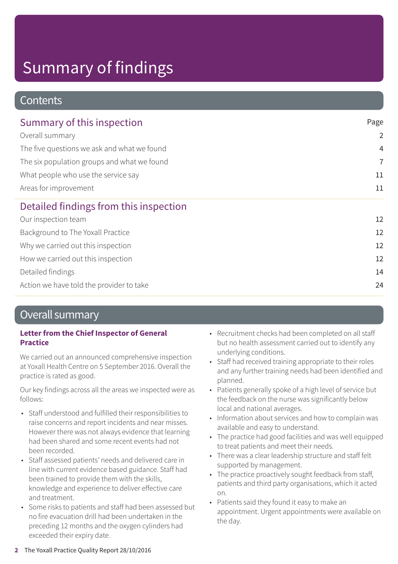### **Contents**

| Summary of this inspection                  | Page<br>$\overline{2}$ |
|---------------------------------------------|------------------------|
| Overall summary                             |                        |
| The five questions we ask and what we found | $\overline{4}$         |
| The six population groups and what we found | $\overline{7}$         |
| What people who use the service say         | 11<br>11               |
| Areas for improvement                       |                        |
| Detailed findings from this inspection      |                        |
| Our inspection team                         | 12                     |
| Background to The Yoxall Practice           | 12                     |
| Why we carried out this inspection          | 12                     |
| How we carried out this inspection          | 12                     |
| Detailed findings                           | 14                     |
| Action we have told the provider to take    | 24                     |

### Overall summary

#### **Letter from the Chief Inspector of General Practice**

We carried out an announced comprehensive inspection at Yoxall Health Centre on 5 September 2016. Overall the practice is rated as good.

Our key findings across all the areas we inspected were as follows:

- Staff understood and fulfilled their responsibilities to raise concerns and report incidents and near misses. However there was not always evidence that learning had been shared and some recent events had not been recorded.
- Staff assessed patients' needs and delivered care in line with current evidence based guidance. Staff had been trained to provide them with the skills, knowledge and experience to deliver effective care and treatment.
- Some risks to patients and staff had been assessed but no fire evacuation drill had been undertaken in the preceding 12 months and the oxygen cylinders had exceeded their expiry date.
- Recruitment checks had been completed on all staff but no health assessment carried out to identify any underlying conditions.
- Staff had received training appropriate to their roles and any further training needs had been identified and planned.
- Patients generally spoke of a high level of service but the feedback on the nurse was significantly below local and national averages.
- Information about services and how to complain was available and easy to understand.
- The practice had good facilities and was well equipped to treat patients and meet their needs.
- There was a clear leadership structure and staff felt supported by management.
- The practice proactively sought feedback from staff, patients and third party organisations, which it acted on.
- Patients said they found it easy to make an appointment. Urgent appointments were available on the day.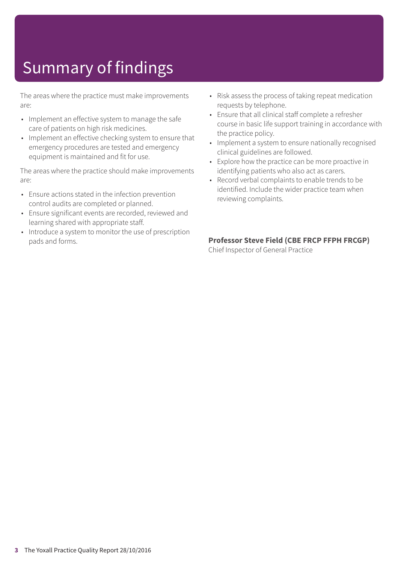The areas where the practice must make improvements are:

- Implement an effective system to manage the safe care of patients on high risk medicines.
- Implement an effective checking system to ensure that emergency procedures are tested and emergency equipment is maintained and fit for use.

The areas where the practice should make improvements are:

- Ensure actions stated in the infection prevention control audits are completed or planned.
- Ensure significant events are recorded, reviewed and learning shared with appropriate staff.
- Introduce a system to monitor the use of prescription pads and forms.
- Risk assess the process of taking repeat medication requests by telephone.
- Ensure that all clinical staff complete a refresher course in basic life support training in accordance with the practice policy.
- Implement a system to ensure nationally recognised clinical guidelines are followed.
- Explore how the practice can be more proactive in identifying patients who also act as carers.
- Record verbal complaints to enable trends to be identified. Include the wider practice team when reviewing complaints.

#### **Professor Steve Field (CBE FRCP FFPH FRCGP)**

Chief Inspector of General Practice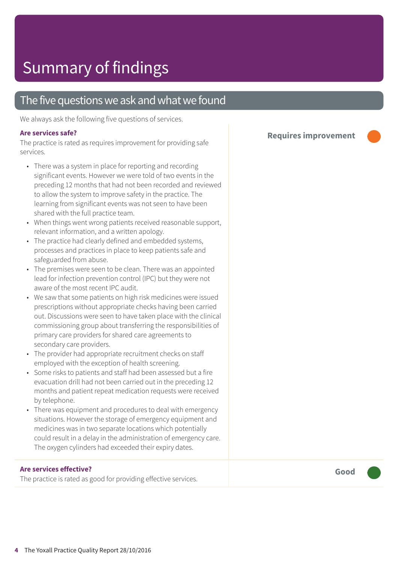### The five questions we ask and what we found

We always ask the following five questions of services.

#### **Are services safe?**

The practice is rated as requires improvement for providing safe services.

- There was a system in place for reporting and recording significant events. However we were told of two events in the preceding 12 months that had not been recorded and reviewed to allow the system to improve safety in the practice. The learning from significant events was not seen to have been shared with the full practice team.
- When things went wrong patients received reasonable support, relevant information, and a written apology.
- The practice had clearly defined and embedded systems, processes and practices in place to keep patients safe and safeguarded from abuse.
- The premises were seen to be clean. There was an appointed lead for infection prevention control (IPC) but they were not aware of the most recent IPC audit.
- We saw that some patients on high risk medicines were issued prescriptions without appropriate checks having been carried out. Discussions were seen to have taken place with the clinical commissioning group about transferring the responsibilities of primary care providers for shared care agreements to secondary care providers.
- The provider had appropriate recruitment checks on staff employed with the exception of health screening.
- Some risks to patients and staff had been assessed but a fire evacuation drill had not been carried out in the preceding 12 months and patient repeat medication requests were received by telephone.
- There was equipment and procedures to deal with emergency situations. However the storage of emergency equipment and medicines was in two separate locations which potentially could result in a delay in the administration of emergency care. The oxygen cylinders had exceeded their expiry dates.

#### **Are services effective?**

The practice is rated as good for providing effective services.

**Requires improvement –––**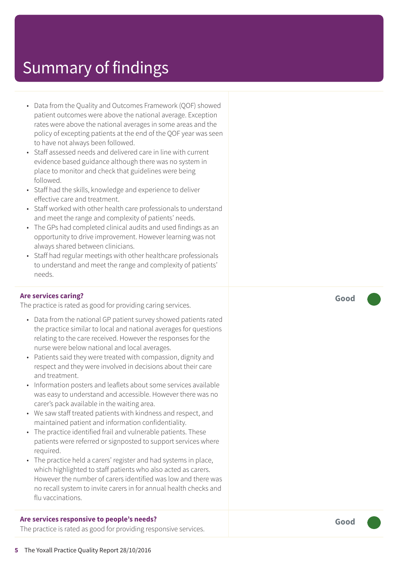- Data from the Quality and Outcomes Framework (QOF) showed patient outcomes were above the national average. Exception rates were above the national averages in some areas and the policy of excepting patients at the end of the QOF year was seen to have not always been followed.
- Staff assessed needs and delivered care in line with current evidence based guidance although there was no system in place to monitor and check that guidelines were being followed.
- Staff had the skills, knowledge and experience to deliver effective care and treatment.
- Staff worked with other health care professionals to understand and meet the range and complexity of patients' needs.
- The GPs had completed clinical audits and used findings as an opportunity to drive improvement. However learning was not always shared between clinicians.
- Staff had regular meetings with other healthcare professionals to understand and meet the range and complexity of patients' needs.

#### **Are services caring?**

The practice is rated as good for providing caring services.

- Data from the national GP patient survey showed patients rated the practice similar to local and national averages for questions relating to the care received. However the responses for the nurse were below national and local averages.
- Patients said they were treated with compassion, dignity and respect and they were involved in decisions about their care and treatment.
- Information posters and leaflets about some services available was easy to understand and accessible. However there was no carer's pack available in the waiting area.
- We saw staff treated patients with kindness and respect, and maintained patient and information confidentiality.
- The practice identified frail and vulnerable patients. These patients were referred or signposted to support services where required.
- The practice held a carers' register and had systems in place, which highlighted to staff patients who also acted as carers. However the number of carers identified was low and there was no recall system to invite carers in for annual health checks and flu vaccinations.

#### **Are services responsive to people's needs?**

The practice is rated as good for providing responsive services.

**Good –––**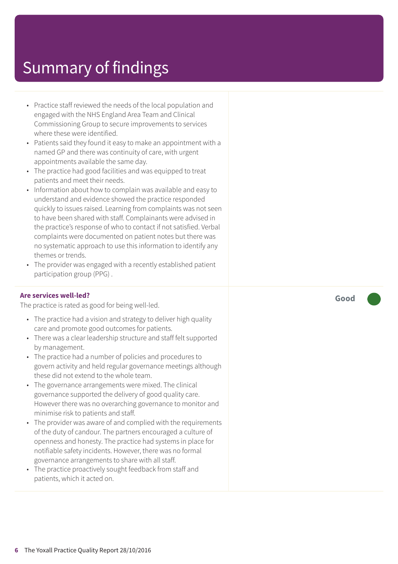- Practice staff reviewed the needs of the local population and engaged with the NHS England Area Team and Clinical Commissioning Group to secure improvements to services where these were identified.
- Patients said they found it easy to make an appointment with a named GP and there was continuity of care, with urgent appointments available the same day.
- The practice had good facilities and was equipped to treat patients and meet their needs.
- Information about how to complain was available and easy to understand and evidence showed the practice responded quickly to issues raised. Learning from complaints was not seen to have been shared with staff. Complainants were advised in the practice's response of who to contact if not satisfied. Verbal complaints were documented on patient notes but there was no systematic approach to use this information to identify any themes or trends.
- The provider was engaged with a recently established patient participation group (PPG) .

#### **Are services well-led?**

The practice is rated as good for being well-led.

- The practice had a vision and strategy to deliver high quality care and promote good outcomes for patients.
- There was a clear leadership structure and staff felt supported by management.
- The practice had a number of policies and procedures to govern activity and held regular governance meetings although these did not extend to the whole team.
- The governance arrangements were mixed. The clinical governance supported the delivery of good quality care. However there was no overarching governance to monitor and minimise risk to patients and staff.
- The provider was aware of and complied with the requirements of the duty of candour. The partners encouraged a culture of openness and honesty. The practice had systems in place for notifiable safety incidents. However, there was no formal governance arrangements to share with all staff.
- The practice proactively sought feedback from staff and patients, which it acted on.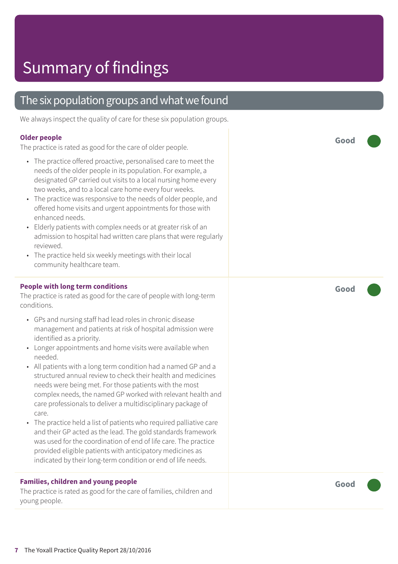### The six population groups and what we found

We always inspect the quality of care for these six population groups.

#### **Older people**

The practice is rated as good for the care of older people.

- The practice offered proactive, personalised care to meet the needs of the older people in its population. For example, a designated GP carried out visits to a local nursing home every two weeks, and to a local care home every four weeks.
- The practice was responsive to the needs of older people, and offered home visits and urgent appointments for those with enhanced needs.
- Elderly patients with complex needs or at greater risk of an admission to hospital had written care plans that were regularly reviewed.
- The practice held six weekly meetings with their local community healthcare team.

#### **People with long term conditions**

The practice is rated as good for the care of people with long-term conditions.

- GPs and nursing staff had lead roles in chronic disease management and patients at risk of hospital admission were identified as a priority.
- Longer appointments and home visits were available when needed.
- All patients with a long term condition had a named GP and a structured annual review to check their health and medicines needs were being met. For those patients with the most complex needs, the named GP worked with relevant health and care professionals to deliver a multidisciplinary package of care.
- The practice held a list of patients who required palliative care and their GP acted as the lead. The gold standards framework was used for the coordination of end of life care. The practice provided eligible patients with anticipatory medicines as indicated by their long-term condition or end of life needs.

#### **Families, children and young people**

The practice is rated as good for the care of families, children and young people.

**Good –––**

**Good –––**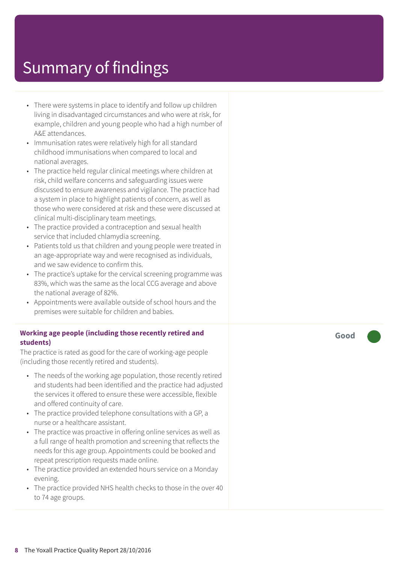- There were systems in place to identify and follow up children living in disadvantaged circumstances and who were at risk, for example, children and young people who had a high number of A&E attendances.
- Immunisation rates were relatively high for all standard childhood immunisations when compared to local and national averages.
- The practice held regular clinical meetings where children at risk, child welfare concerns and safeguarding issues were discussed to ensure awareness and vigilance. The practice had a system in place to highlight patients of concern, as well as those who were considered at risk and these were discussed at clinical multi-disciplinary team meetings.
- The practice provided a contraception and sexual health service that included chlamydia screening.
- Patients told us that children and young people were treated in an age-appropriate way and were recognised as individuals, and we saw evidence to confirm this.
- The practice's uptake for the cervical screening programme was 83%, which was the same as the local CCG average and above the national average of 82%.
- Appointments were available outside of school hours and the premises were suitable for children and babies.

#### **Working age people (including those recently retired and students)**

The practice is rated as good for the care of working-age people (including those recently retired and students).

- The needs of the working age population, those recently retired and students had been identified and the practice had adjusted the services it offered to ensure these were accessible, flexible and offered continuity of care.
- The practice provided telephone consultations with a GP, a nurse or a healthcare assistant.
- The practice was proactive in offering online services as well as a full range of health promotion and screening that reflects the needs for this age group. Appointments could be booked and repeat prescription requests made online.
- The practice provided an extended hours service on a Monday evening.
- The practice provided NHS health checks to those in the over 40 to 74 age groups.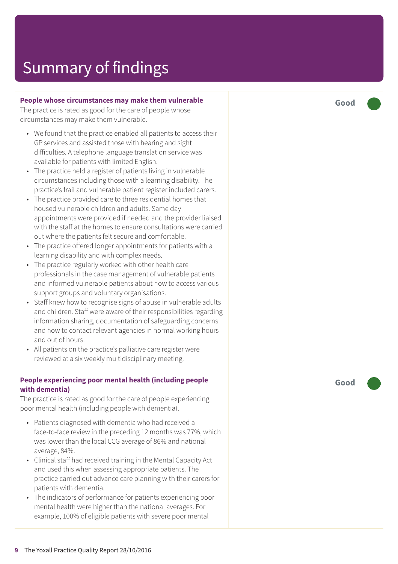#### **People whose circumstances may mak e them vulnerable**

The practic e is rated as good for the car e of people whose circumstances may mak e them vulnerable.

- We found that the practice enabled all patients to access their GP services and assisted those with hearing and sight difficulties. A telephone languag e translation servic e was available for patients with limited English.
- The practice held a register of patients living in vulnerable circumstances including those with a learning disability. The practice's frail and vulnerable patient register included carers.
- The practice provided care to three residential homes that housed vulnerable children and adults. Same day appointments wer e provided if needed and the provider liaised with the staff at the homes t o ensur e consultations wer e carried out wher e the patients felt secur e and comfortable.
- The practic e offered longer appointments for patients with a learning disability and with complex needs.
- The practice regularly worked with other health care professionals in the case management of vulnerable patients and informed vulnerable patients about how to access various support groups and voluntar y or ganisations.
- Staff knew how to recognise signs of abuse in vulnerable adults and children. Staff wer e awar e of their responsibilities r e garding information sharing, documentation of saf eguarding concerns and how to contact relevant agencies in normal working hours and out of hours.
- All patients on the practice's palliative care register were reviewed at a six weekly multidisciplinary meeting.

#### **People experiencing poor mental health (including people with dementia)**

The practice is rated as good for the care of people experiencing poor mental health (including people with dementia).

- Patients diagnosed with dementia who had received a face-to-face review in the preceding 12 months was 77%, which was lower than the local C C G averag e of 86% and national average, 84%.
- Clinical staff had received training in the Mental Capacity Act and used this when assessing appropriat e patients. The practice carried out advance care planning with their carers for patients with dementia.
- The indicator s of performanc e for patients experiencing poor mental health wer e higher than the national averages. For example, 100% of eligible patients with sever e poor mental

**Good –––**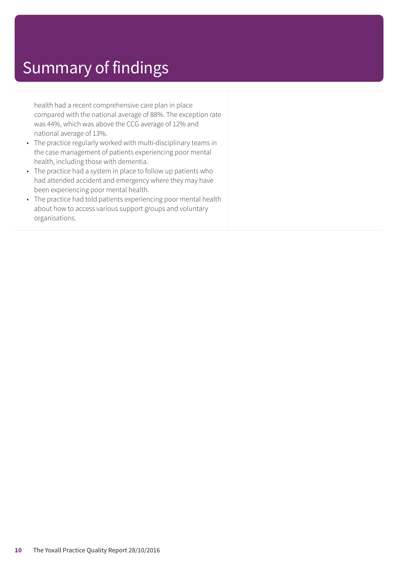health had a recent comprehensive care plan in place compared with the national average of 88%. The exception rate was 44%, which was above the CCG average of 12% and national average of 13%.

- The practice regularly worked with multi-disciplinary teams in the case management of patients experiencing poor mental health, including those with dementia.
- The practice had a system in place to follow up patients who had attended accident and emergency where they may have been experiencing poor mental health.
- The practice had told patients experiencing poor mental health about how to access various support groups and voluntary organisations.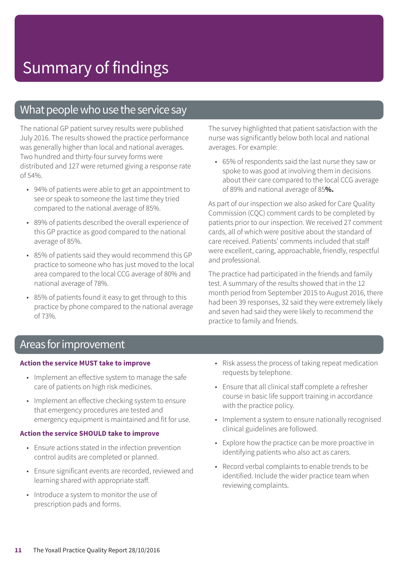### What people who use the service say

The national GP patient survey results were published July 2016. The results showed the practice performance was generally higher than local and national averages. Two hundred and thirty-four survey forms were distributed and 127 were returned giving a response rate of 54%.

- 94% of patients were able to get an appointment to see or speak to someone the last time they tried compared to the national average of 85%.
- 89% of patients described the overall experience of this GP practice as good compared to the national average of 85%.
- 85% of patients said they would recommend this GP practice to someone who has just moved to the local area compared to the local CCG average of 80% and national average of 78%.
- 85% of patients found it easy to get through to this practice by phone compared to the national average of 73%.

The survey highlighted that patient satisfaction with the nurse was significantly below both local and national averages. For example:

• 65% of respondents said the last nurse they saw or spoke to was good at involving them in decisions about their care compared to the local CCG average of 89% and national average of 85**%.**

As part of our inspection we also asked for Care Quality Commission (CQC) comment cards to be completed by patients prior to our inspection. We received 27 comment cards, all of which were positive about the standard of care received. Patients' comments included that staff were excellent, caring, approachable, friendly, respectful and professional.

The practice had participated in the friends and family test. A summary of the results showed that in the 12 month period from September 2015 to August 2016, there had been 39 responses, 32 said they were extremely likely and seven had said they were likely to recommend the practice to family and friends.

### Areas for improvement

#### **Action the service MUST take to improve**

- Implement an effective system to manage the safe care of patients on high risk medicines.
- Implement an effective checking system to ensure that emergency procedures are tested and emergency equipment is maintained and fit for use.

#### **Action the service SHOULD take to improve**

- Ensure actions stated in the infection prevention control audits are completed or planned.
- Ensure significant events are recorded, reviewed and learning shared with appropriate staff.
- Introduce a system to monitor the use of prescription pads and forms.
- Risk assess the process of taking repeat medication requests by telephone.
- Ensure that all clinical staff complete a refresher course in basic life support training in accordance with the practice policy.
- Implement a system to ensure nationally recognised clinical guidelines are followed.
- Explore how the practice can be more proactive in identifying patients who also act as carers.
- Record verbal complaints to enable trends to be identified. Include the wider practice team when reviewing complaints.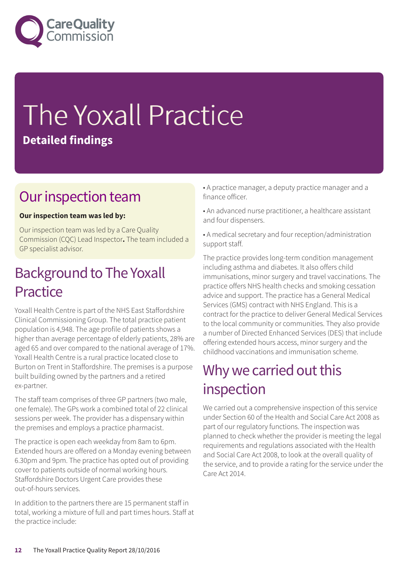

## The Yoxall Practice **Detailed findings**

### Our inspection team

#### **Our inspection team was led by:**

Our inspection team was led by a Care Quality Commission (CQC) Lead Inspector**.** The team included a GP specialist advisor.

### **Background to The Yoxall** Practice

Yoxall Health Centre is part of the NHS East Staffordshire Clinical Commissioning Group. The total practice patient population is 4,948. The age profile of patients shows a higher than average percentage of elderly patients, 28% are aged 65 and over compared to the national average of 17%. Yoxall Health Centre is a rural practice located close to Burton on Trent in Staffordshire. The premises is a purpose built building owned by the partners and a retired ex-partner.

The staff team comprises of three GP partners (two male, one female). The GPs work a combined total of 22 clinical sessions per week. The provider has a dispensary within the premises and employs a practice pharmacist.

The practice is open each weekday from 8am to 6pm. Extended hours are offered on a Monday evening between 6.30pm and 9pm. The practice has opted out of providing cover to patients outside of normal working hours. Staffordshire Doctors Urgent Care provides these out-of-hours services.

In addition to the partners there are 15 permanent staff in total, working a mixture of full and part times hours. Staff at the practice include:

- A practice manager, a deputy practice manager and a finance officer.
- An advanced nurse practitioner, a healthcare assistant and four dispensers.
- A medical secretary and four reception/administration support staff.

The practice provides long-term condition management including asthma and diabetes. It also offers child immunisations, minor surgery and travel vaccinations. The practice offers NHS health checks and smoking cessation advice and support. The practice has a General Medical Services (GMS) contract with NHS England. This is a contract for the practice to deliver General Medical Services to the local community or communities. They also provide a number of Directed Enhanced Services (DES) that include offering extended hours access, minor surgery and the childhood vaccinations and immunisation scheme.

### Why we carried out this inspection

We carried out a comprehensive inspection of this service under Section 60 of the Health and Social Care Act 2008 as part of our regulatory functions. The inspection was planned to check whether the provider is meeting the legal requirements and regulations associated with the Health and Social Care Act 2008, to look at the overall quality of the service, and to provide a rating for the service under the Care Act 2014.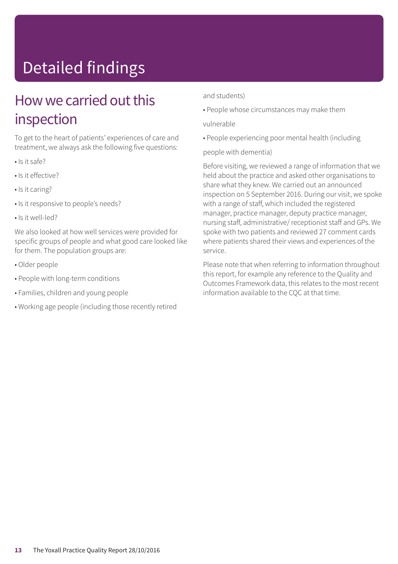## Detailed findings

### How we carried out this inspection

To get to the heart of patients' experiences of care and treatment, we always ask the following five questions:

- Is it safe?
- Is it effective?
- Is it caring?
- Is it responsive to people's needs?
- Is it well-led?

We also looked at how well services were provided for specific groups of people and what good care looked like for them. The population groups are:

- Older people
- People with long-term conditions
- Families, children and young people
- Working age people (including those recently retired

#### and students)

• People whose circumstances may make them

#### vulnerable

• People experiencing poor mental health (including

#### people with dementia)

Before visiting, we reviewed a range of information that we held about the practice and asked other organisations to share what they knew. We carried out an announced inspection on 5 September 2016. During our visit, we spoke with a range of staff, which included the registered manager, practice manager, deputy practice manager, nursing staff, administrative/ receptionist staff and GPs. We spoke with two patients and reviewed 27 comment cards where patients shared their views and experiences of the service.

Please note that when referring to information throughout this report, for example any reference to the Quality and Outcomes Framework data, this relates to the most recent information available to the CQC at that time.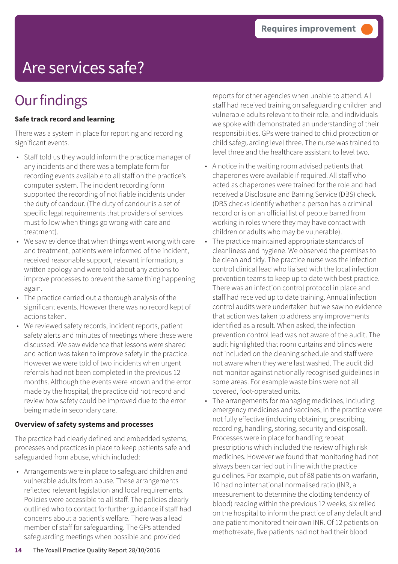## Are services safe?

### **Our findings**

#### **Safe track record and learning**

There was a system in place for reporting and recording significant events.

- Staff told us they would inform the practice manager of any incidents and there was a template form for recording events available to all staff on the practice's computer system. The incident recording form supported the recording of notifiable incidents under the duty of candour. (The duty of candour is a set of specific legal requirements that providers of services must follow when things go wrong with care and treatment).
- We saw evidence that when things went wrong with care and treatment, patients were informed of the incident, received reasonable support, relevant information, a written apology and were told about any actions to improve processes to prevent the same thing happening again.
- The practice carried out a thorough analysis of the significant events. However there was no record kept of actions taken.
- We reviewed safety records, incident reports, patient safety alerts and minutes of meetings where these were discussed. We saw evidence that lessons were shared and action was taken to improve safety in the practice. However we were told of two incidents when urgent referrals had not been completed in the previous 12 months. Although the events were known and the error made by the hospital, the practice did not record and review how safety could be improved due to the error being made in secondary care.

#### **Overview of safety systems and processes**

The practice had clearly defined and embedded systems, processes and practices in place to keep patients safe and safeguarded from abuse, which included:

• Arrangements were in place to safeguard children and vulnerable adults from abuse. These arrangements reflected relevant legislation and local requirements. Policies were accessible to all staff. The policies clearly outlined who to contact for further guidance if staff had concerns about a patient's welfare. There was a lead member of staff for safeguarding. The GPs attended safeguarding meetings when possible and provided

reports for other agencies when unable to attend. All staff had received training on safeguarding children and vulnerable adults relevant to their role, and individuals we spoke with demonstrated an understanding of their responsibilities. GPs were trained to child protection or child safeguarding level three. The nurse was trained to level three and the healthcare assistant to level two.

- A notice in the waiting room advised patients that chaperones were available if required. All staff who acted as chaperones were trained for the role and had received a Disclosure and Barring Service (DBS) check. (DBS checks identify whether a person has a criminal record or is on an official list of people barred from working in roles where they may have contact with children or adults who may be vulnerable).
- The practice maintained appropriate standards of cleanliness and hygiene. We observed the premises to be clean and tidy. The practice nurse was the infection control clinical lead who liaised with the local infection prevention teams to keep up to date with best practice. There was an infection control protocol in place and staff had received up to date training. Annual infection control audits were undertaken but we saw no evidence that action was taken to address any improvements identified as a result. When asked, the infection prevention control lead was not aware of the audit. The audit highlighted that room curtains and blinds were not included on the cleaning schedule and staff were not aware when they were last washed. The audit did not monitor against nationally recognised guidelines in some areas. For example waste bins were not all covered, foot-operated units.
- The arrangements for managing medicines, including emergency medicines and vaccines, in the practice were not fully effective (including obtaining, prescribing, recording, handling, storing, security and disposal). Processes were in place for handling repeat prescriptions which included the review of high risk medicines. However we found that monitoring had not always been carried out in line with the practice guidelines. For example, out of 88 patients on warfarin, 10 had no international normalised ratio (INR, a measurement to determine the clotting tendency of blood) reading within the previous 12 weeks, six relied on the hospital to inform the practice of any default and one patient monitored their own INR. Of 12 patients on methotrexate, five patients had not had their blood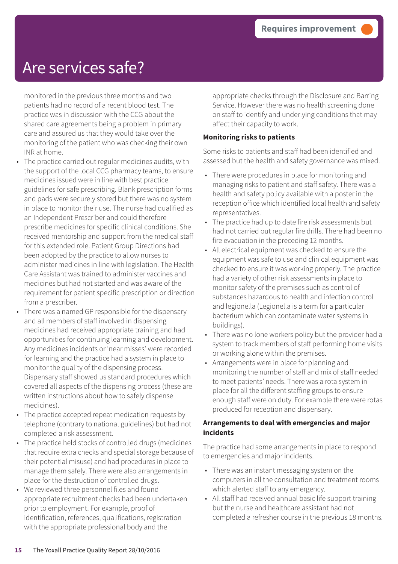### Are services safe?

monitored in the previous three months and two patients had no record of a recent blood test. The practice was in discussion with the CCG about the shared care agreements being a problem in primary care and assured us that they would take over the monitoring of the patient who was checking their own INR at home.

- The practice carried out regular medicines audits, with the support of the local CCG pharmacy teams, to ensure medicines issued were in line with best practice guidelines for safe prescribing. Blank prescription forms and pads were securely stored but there was no system in place to monitor their use. The nurse had qualified as an Independent Prescriber and could therefore prescribe medicines for specific clinical conditions. She received mentorship and support from the medical staff for this extended role. Patient Group Directions had been adopted by the practice to allow nurses to administer medicines in line with legislation. The Health Care Assistant was trained to administer vaccines and medicines but had not started and was aware of the requirement for patient specific prescription or direction from a prescriber.
- There was a named GP responsible for the dispensary and all members of staff involved in dispensing medicines had received appropriate training and had opportunities for continuing learning and development. Any medicines incidents or 'near misses' were recorded for learning and the practice had a system in place to monitor the quality of the dispensing process. Dispensary staff showed us standard procedures which covered all aspects of the dispensing process (these are written instructions about how to safely dispense medicines).
- The practice accepted repeat medication requests by telephone (contrary to national guidelines) but had not completed a risk assessment.
- The practice held stocks of controlled drugs (medicines that require extra checks and special storage because of their potential misuse) and had procedures in place to manage them safely. There were also arrangements in place for the destruction of controlled drugs.
- We reviewed three personnel files and found appropriate recruitment checks had been undertaken prior to employment. For example, proof of identification, references, qualifications, registration with the appropriate professional body and the

appropriate checks through the Disclosure and Barring Service. However there was no health screening done on staff to identify and underlying conditions that may affect their capacity to work.

#### **Monitoring risks to patients**

Some risks to patients and staff had been identified and assessed but the health and safety governance was mixed.

- There were procedures in place for monitoring and managing risks to patient and staff safety. There was a health and safety policy available with a poster in the reception office which identified local health and safety representatives.
- The practice had up to date fire risk assessments but had not carried out regular fire drills. There had been no fire evacuation in the preceding 12 months.
- All electrical equipment was checked to ensure the equipment was safe to use and clinical equipment was checked to ensure it was working properly. The practice had a variety of other risk assessments in place to monitor safety of the premises such as control of substances hazardous to health and infection control and legionella (Legionella is a term for a particular bacterium which can contaminate water systems in buildings).
- There was no lone workers policy but the provider had a system to track members of staff performing home visits or working alone within the premises.
- Arrangements were in place for planning and monitoring the number of staff and mix of staff needed to meet patients' needs. There was a rota system in place for all the different staffing groups to ensure enough staff were on duty. For example there were rotas produced for reception and dispensary.

#### **Arrangements to deal with emergencies and major incidents**

The practice had some arrangements in place to respond to emergencies and major incidents.

- There was an instant messaging system on the computers in all the consultation and treatment rooms which alerted staff to any emergency.
- All staff had received annual basic life support training but the nurse and healthcare assistant had not completed a refresher course in the previous 18 months.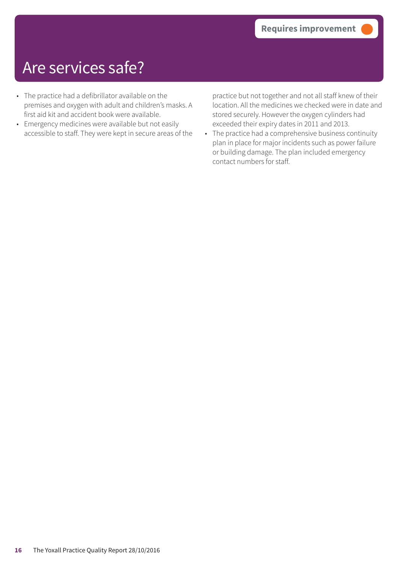### Are services safe?

- The practice had a defibrillator available on the premises and oxygen with adult and children's masks. A first aid kit and accident book were available.
- Emergency medicines were available but not easily accessible to staff. They were kept in secure areas of the

practice but not together and not all staff knew of their location. All the medicines we checked were in date and stored securely. However the oxygen cylinders had exceeded their expiry dates in 2011 and 2013.

• The practice had a comprehensive business continuity plan in place for major incidents such as power failure or building damage. The plan included emergency contact numbers for staff.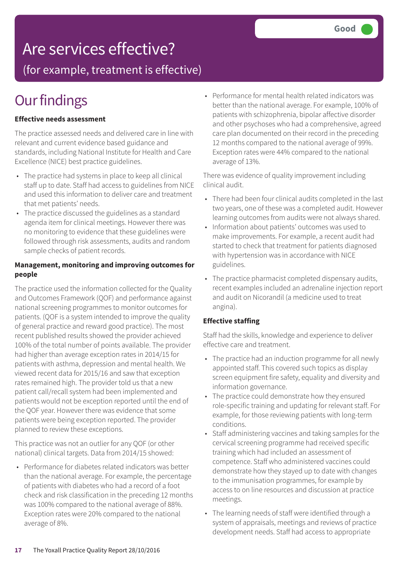### Are services effective?

(for example, treatment is effective)

## **Our findings**

#### **Effective needs assessment**

The practice assessed needs and delivered care in line with relevant and current evidence based guidance and standards, including National Institute for Health and Care Excellence (NICE) best practice guidelines.

- The practice had systems in place to keep all clinical staff up to date. Staff had access to guidelines from NICE and used this information to deliver care and treatment that met patients' needs.
- The practice discussed the guidelines as a standard agenda item for clinical meetings. However there was no monitoring to evidence that these guidelines were followed through risk assessments, audits and random sample checks of patient records.

#### **Management, monitoring and improving outcomes for people**

The practice used the information collected for the Quality and Outcomes Framework (QOF) and performance against national screening programmes to monitor outcomes for patients. (QOF is a system intended to improve the quality of general practice and reward good practice). The most recent published results showed the provider achieved 100% of the total number of points available. The provider had higher than average exception rates in 2014/15 for patients with asthma, depression and mental health. We viewed recent data for 2015/16 and saw that exception rates remained high. The provider told us that a new patient call/recall system had been implemented and patients would not be exception reported until the end of the QOF year. However there was evidence that some patients were being exception reported. The provider planned to review these exceptions.

This practice was not an outlier for any QOF (or other national) clinical targets. Data from 2014/15 showed:

• Performance for diabetes related indicators was better than the national average. For example, the percentage of patients with diabetes who had a record of a foot check and risk classification in the preceding 12 months was 100% compared to the national average of 88%. Exception rates were 20% compared to the national average of 8%.

• Performance for mental health related indicators was better than the national average. For example, 100% of patients with schizophrenia, bipolar affective disorder and other psychoses who had a comprehensive, agreed care plan documented on their record in the preceding 12 months compared to the national average of 99%. Exception rates were 44% compared to the national average of 13%.

There was evidence of quality improvement including clinical audit.

- There had been four clinical audits completed in the last two years, one of these was a completed audit. However learning outcomes from audits were not always shared.
- Information about patients' outcomes was used to make improvements. For example, a recent audit had started to check that treatment for patients diagnosed with hypertension was in accordance with NICE guidelines.
- The practice pharmacist completed dispensary audits, recent examples included an adrenaline injection report and audit on Nicorandil (a medicine used to treat angina).

#### **Effective staffing**

Staff had the skills, knowledge and experience to deliver effective care and treatment.

- The practice had an induction programme for all newly appointed staff. This covered such topics as display screen equipment fire safety, equality and diversity and information governance.
- The practice could demonstrate how they ensured role-specific training and updating for relevant staff. For example, for those reviewing patients with long-term conditions.
- Staff administering vaccines and taking samples for the cervical screening programme had received specific training which had included an assessment of competence. Staff who administered vaccines could demonstrate how they stayed up to date with changes to the immunisation programmes, for example by access to on line resources and discussion at practice meetings.
- The learning needs of staff were identified through a system of appraisals, meetings and reviews of practice development needs. Staff had access to appropriate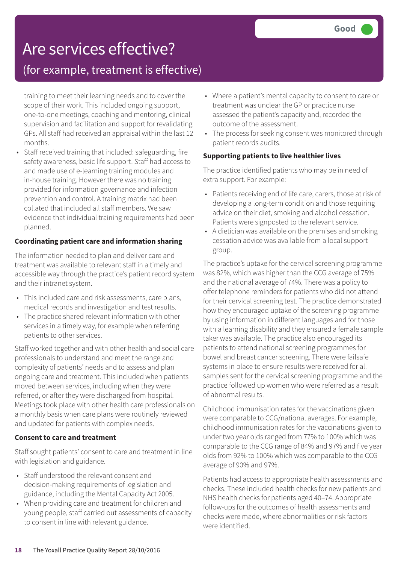### Are services effective?

### (for example, treatment is effective)

training to meet their learning needs and to cover the scope of their work. This included ongoing support, one-to-one meetings, coaching and mentoring, clinical supervision and facilitation and support for revalidating GPs. All staff had received an appraisal within the last 12 months.

• Staff received training that included: safeguarding, fire safety awareness, basic life support. Staff had access to and made use of e-learning training modules and in-house training. However there was no training provided for information governance and infection prevention and control. A training matrix had been collated that included all staff members. We saw evidence that individual training requirements had been planned.

#### **Coordinating patient care and information sharing**

The information needed to plan and deliver care and treatment was available to relevant staff in a timely and accessible way through the practice's patient record system and their intranet system.

- This included care and risk assessments, care plans, medical records and investigation and test results.
- The practice shared relevant information with other services in a timely way, for example when referring patients to other services.

Staff worked together and with other health and social care professionals to understand and meet the range and complexity of patients' needs and to assess and plan ongoing care and treatment. This included when patients moved between services, including when they were referred, or after they were discharged from hospital. Meetings took place with other health care professionals on a monthly basis when care plans were routinely reviewed and updated for patients with complex needs.

#### **Consent to care and treatment**

Staff sought patients' consent to care and treatment in line with legislation and guidance.

- Staff understood the relevant consent and decision-making requirements of legislation and guidance, including the Mental Capacity Act 2005.
- When providing care and treatment for children and young people, staff carried out assessments of capacity to consent in line with relevant guidance.
- Where a patient's mental capacity to consent to care or treatment was unclear the GP or practice nurse assessed the patient's capacity and, recorded the outcome of the assessment.
- The process for seeking consent was monitored through patient records audits.

#### **Supporting patients to live healthier lives**

The practice identified patients who may be in need of extra support. For example:

- Patients receiving end of life care, carers, those at risk of developing a long-term condition and those requiring advice on their diet, smoking and alcohol cessation. Patients were signposted to the relevant service.
- A dietician was available on the premises and smoking cessation advice was available from a local support group.

The practice's uptake for the cervical screening programme was 82%, which was higher than the CCG average of 75% and the national average of 74%. There was a policy to offer telephone reminders for patients who did not attend for their cervical screening test. The practice demonstrated how they encouraged uptake of the screening programme by using information in different languages and for those with a learning disability and they ensured a female sample taker was available. The practice also encouraged its patients to attend national screening programmes for bowel and breast cancer screening. There were failsafe systems in place to ensure results were received for all samples sent for the cervical screening programme and the practice followed up women who were referred as a result of abnormal results.

Childhood immunisation rates for the vaccinations given were comparable to CCG/national averages. For example, childhood immunisation rates for the vaccinations given to under two year olds ranged from 77% to 100% which was comparable to the CCG range of 84% and 97% and five year olds from 92% to 100% which was comparable to the CCG average of 90% and 97%.

Patients had access to appropriate health assessments and checks. These included health checks for new patients and NHS health checks for patients aged 40–74. Appropriate follow-ups for the outcomes of health assessments and checks were made, where abnormalities or risk factors were identified.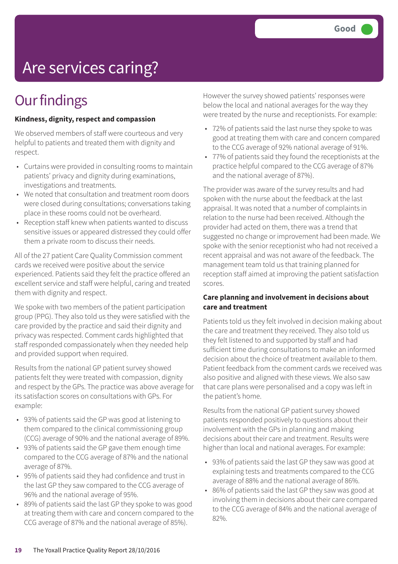## Are services caring?

### **Our findings**

#### **Kindness, dignity, respect and compassion**

We observed members of staff were courteous and very helpful to patients and treated them with dignity and respect.

- Curtains were provided in consulting rooms to maintain patients' privacy and dignity during examinations, investigations and treatments.
- We noted that consultation and treatment room doors were closed during consultations; conversations taking place in these rooms could not be overheard.
- Reception staff knew when patients wanted to discuss sensitive issues or appeared distressed they could offer them a private room to discuss their needs.

All of the 27 patient Care Quality Commission comment cards we received were positive about the service experienced. Patients said they felt the practice offered an excellent service and staff were helpful, caring and treated them with dignity and respect.

We spoke with two members of the patient participation group (PPG). They also told us they were satisfied with the care provided by the practice and said their dignity and privacy was respected. Comment cards highlighted that staff responded compassionately when they needed help and provided support when required.

Results from the national GP patient survey showed patients felt they were treated with compassion, dignity and respect by the GPs. The practice was above average for its satisfaction scores on consultations with GPs. For example:

- 93% of patients said the GP was good at listening to them compared to the clinical commissioning group (CCG) average of 90% and the national average of 89%.
- 93% of patients said the GP gave them enough time compared to the CCG average of 87% and the national average of 87%.
- 95% of patients said they had confidence and trust in the last GP they saw compared to the CCG average of 96% and the national average of 95%.
- 89% of patients said the last GP they spoke to was good at treating them with care and concern compared to the CCG average of 87% and the national average of 85%).

However the survey showed patients' responses were below the local and national averages for the way they were treated by the nurse and receptionists. For example:

- 72% of patients said the last nurse they spoke to was good at treating them with care and concern compared to the CCG average of 92% national average of 91%.
- 77% of patients said they found the receptionists at the practice helpful compared to the CCG average of 87% and the national average of 87%).

The provider was aware of the survey results and had spoken with the nurse about the feedback at the last appraisal. It was noted that a number of complaints in relation to the nurse had been received. Although the provider had acted on them, there was a trend that suggested no change or improvement had been made. We spoke with the senior receptionist who had not received a recent appraisal and was not aware of the feedback. The management team told us that training planned for reception staff aimed at improving the patient satisfaction scores.

#### **Care planning and involvement in decisions about care and treatment**

Patients told us they felt involved in decision making about the care and treatment they received. They also told us they felt listened to and supported by staff and had sufficient time during consultations to make an informed decision about the choice of treatment available to them. Patient feedback from the comment cards we received was also positive and aligned with these views. We also saw that care plans were personalised and a copy was left in the patient's home.

Results from the national GP patient survey showed patients responded positively to questions about their involvement with the GPs in planning and making decisions about their care and treatment. Results were higher than local and national averages. For example:

- 93% of patients said the last GP they saw was good at explaining tests and treatments compared to the CCG average of 88% and the national average of 86%.
- 86% of patients said the last GP they saw was good at involving them in decisions about their care compared to the CCG average of 84% and the national average of 82%.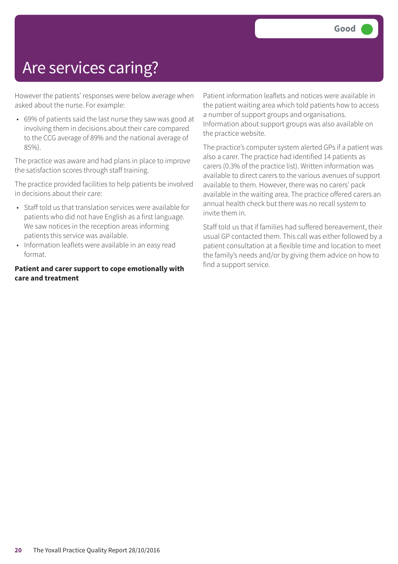### Are services caring?

However the patients' responses were below average when asked about the nurse. For example:

• 69% of patients said the last nurse they saw was good at involving them in decisions about their care compared to the CCG average of 89% and the national average of 85%).

The practice was aware and had plans in place to improve the satisfaction scores through staff training.

The practice provided facilities to help patients be involved in decisions about their care:

- Staff told us that translation services were available for patients who did not have English as a first language. We saw notices in the reception areas informing patients this service was available.
- Information leaflets were available in an easy read format.

#### **Patient and carer support to cope emotionally with care and treatment**

Patient information leaflets and notices were available in the patient waiting area which told patients how to access a number of support groups and organisations. Information about support groups was also available on the practice website.

The practice's computer system alerted GPs if a patient was also a carer. The practice had identified 14 patients as carers (0.3% of the practice list). Written information was available to direct carers to the various avenues of support available to them. However, there was no carers' pack available in the waiting area. The practice offered carers an annual health check but there was no recall system to invite them in.

Staff told us that if families had suffered bereavement, their usual GP contacted them. This call was either followed by a patient consultation at a flexible time and location to meet the family's needs and/or by giving them advice on how to find a support service.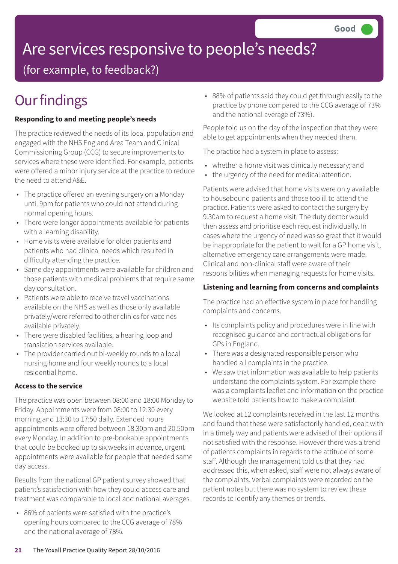## Are services responsive to people's needs?

(for example, to feedback?)

## **Our findings**

#### **Responding to and meeting people's needs**

The practice reviewed the needs of its local population and engaged with the NHS England Area Team and Clinical Commissioning Group (CCG) to secure improvements to services where these were identified. For example, patients were offered a minor injury service at the practice to reduce the need to attend A&E.

- The practice offered an evening surgery on a Monday until 9pm for patients who could not attend during normal opening hours.
- There were longer appointments available for patients with a learning disability.
- Home visits were available for older patients and patients who had clinical needs which resulted in difficulty attending the practice.
- Same day appointments were available for children and those patients with medical problems that require same day consultation.
- Patients were able to receive travel vaccinations available on the NHS as well as those only available privately/were referred to other clinics for vaccines available privately.
- There were disabled facilities, a hearing loop and translation services available.
- The provider carried out bi-weekly rounds to a local nursing home and four weekly rounds to a local residential home.

#### **Access to the service**

The practice was open between 08:00 and 18:00 Monday to Friday. Appointments were from 08:00 to 12:30 every morning and 13:30 to 17:50 daily. Extended hours appointments were offered between 18.30pm and 20.50pm every Monday. In addition to pre-bookable appointments that could be booked up to six weeks in advance, urgent appointments were available for people that needed same day access.

Results from the national GP patient survey showed that patient's satisfaction with how they could access care and treatment was comparable to local and national averages.

• 86% of patients were satisfied with the practice's opening hours compared to the CCG average of 78% and the national average of 78%.

• 88% of patients said they could get through easily to the practice by phone compared to the CCG average of 73% and the national average of 73%).

People told us on the day of the inspection that they were able to get appointments when they needed them.

The practice had a system in place to assess:

- whether a home visit was clinically necessary; and
- the urgency of the need for medical attention.

Patients were advised that home visits were only available to housebound patients and those too ill to attend the practice. Patients were asked to contact the surgery by 9.30am to request a home visit. The duty doctor would then assess and prioritise each request individually. In cases where the urgency of need was so great that it would be inappropriate for the patient to wait for a GP home visit, alternative emergency care arrangements were made. Clinical and non-clinical staff were aware of their responsibilities when managing requests for home visits.

#### **Listening and learning from concerns and complaints**

The practice had an effective system in place for handling complaints and concerns.

- Its complaints policy and procedures were in line with recognised guidance and contractual obligations for GPs in England.
- There was a designated responsible person who handled all complaints in the practice.
- We saw that information was available to help patients understand the complaints system. For example there was a complaints leaflet and information on the practice website told patients how to make a complaint.

We looked at 12 complaints received in the last 12 months and found that these were satisfactorily handled, dealt with in a timely way and patients were advised of their options if not satisfied with the response. However there was a trend of patients complaints in regards to the attitude of some staff. Although the management told us that they had addressed this, when asked, staff were not always aware of the complaints. Verbal complaints were recorded on the patient notes but there was no system to review these records to identify any themes or trends.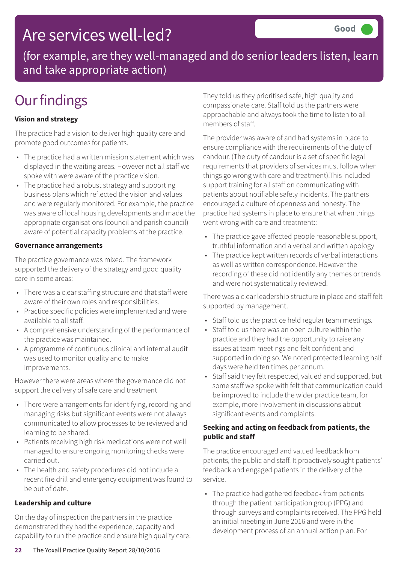### Are services well-led?

(for example, are they well-managed and do senior leaders listen, learn and take appropriate action)

## **Our findings**

#### **Vision and strategy**

The practice had a vision to deliver high quality care and promote good outcomes for patients.

- The practice had a written mission statement which was displayed in the waiting areas. However not all staff we spoke with were aware of the practice vision.
- The practice had a robust strategy and supporting business plans which reflected the vision and values and were regularly monitored. For example, the practice was aware of local housing developments and made the appropriate organisations (council and parish council) aware of potential capacity problems at the practice.

#### **Governance arrangements**

The practice governance was mixed. The framework supported the delivery of the strategy and good quality care in some areas:

- There was a clear staffing structure and that staff were aware of their own roles and responsibilities.
- Practice specific policies were implemented and were available to all staff.
- A comprehensive understanding of the performance of the practice was maintained.
- A programme of continuous clinical and internal audit was used to monitor quality and to make improvements.

However there were areas where the governance did not support the delivery of safe care and treatment

- There were arrangements for identifying, recording and managing risks but significant events were not always communicated to allow processes to be reviewed and learning to be shared.
- Patients receiving high risk medications were not well managed to ensure ongoing monitoring checks were carried out.
- The health and safety procedures did not include a recent fire drill and emergency equipment was found to be out of date.

#### **Leadership and culture**

On the day of inspection the partners in the practice demonstrated they had the experience, capacity and capability to run the practice and ensure high quality care. They told us they prioritised safe, high quality and compassionate care. Staff told us the partners were approachable and always took the time to listen to all members of staff.

The provider was aware of and had systems in place to ensure compliance with the requirements of the duty of candour. (The duty of candour is a set of specific legal requirements that providers of services must follow when things go wrong with care and treatment).This included support training for all staff on communicating with patients about notifiable safety incidents. The partners encouraged a culture of openness and honesty. The practice had systems in place to ensure that when things went wrong with care and treatment::

- The practice gave affected people reasonable support, truthful information and a verbal and written apology
- The practice kept written records of verbal interactions as well as written correspondence. However the recording of these did not identify any themes or trends and were not systematically reviewed.

There was a clear leadership structure in place and staff felt supported by management.

- Staff told us the practice held regular team meetings.
- Staff told us there was an open culture within the practice and they had the opportunity to raise any issues at team meetings and felt confident and supported in doing so. We noted protected learning half days were held ten times per annum.
- Staff said they felt respected, valued and supported, but some staff we spoke with felt that communication could be improved to include the wider practice team, for example, more involvement in discussions about significant events and complaints.

#### **Seeking and acting on feedback from patients, the public and staff**

The practice encouraged and valued feedback from patients, the public and staff. It proactively sought patients' feedback and engaged patients in the delivery of the service.

• The practice had gathered feedback from patients through the patient participation group (PPG) and through surveys and complaints received. The PPG held an initial meeting in June 2016 and were in the development process of an annual action plan. For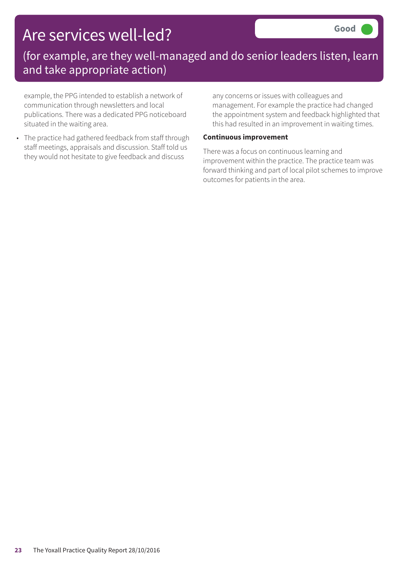### Are services well-led?

### (for example, are they well-managed and do senior leaders listen, learn and take appropriate action)

example, the PPG intended to establish a network of communication through newsletters and local publications. There was a dedicated PPG noticeboard situated in the waiting area.

• The practice had gathered feedback from staff through staff meetings, appraisals and discussion. Staff told us they would not hesitate to give feedback and discuss

any concerns or issues with colleagues and management. For example the practice had changed the appointment system and feedback highlighted that this had resulted in an improvement in waiting times.

#### **Continuous improvement**

There was a focus on continuous learning and improvement within the practice. The practice team was forward thinking and part of local pilot schemes to improve outcomes for patients in the area.